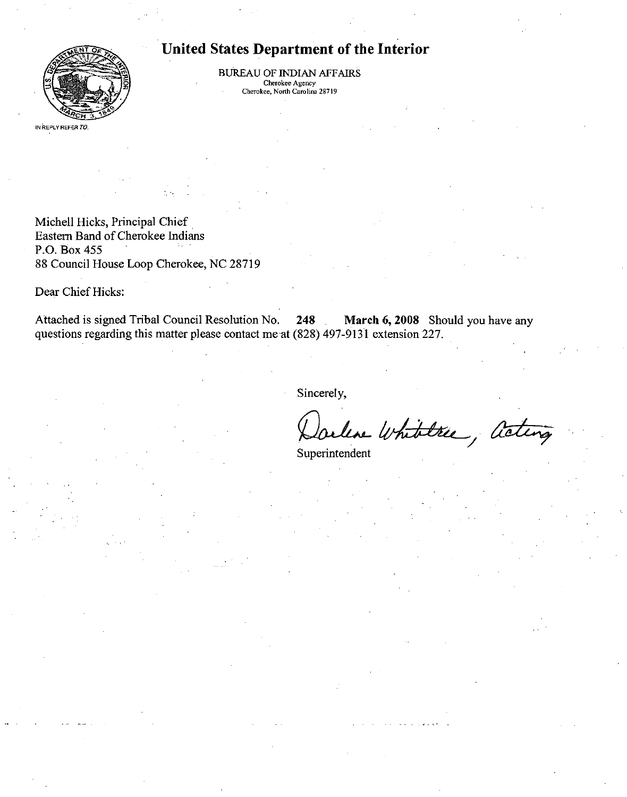

# United States Department of the Interior

BUREAU OF INDIAN AFFAIRS Cherokee Agency Cherokee, North Carolina 28719

IN REPLY REFER TO.

Michell Hicks, Principal Chief Eastem Band of Cherokee Indians P.O. Box 455 88 Council House Loop Cherokee, NC 28719

Dear Chief Hicks:

Attached is signed Tribal Council Resolution No. 248 . March 6, 2008 Should you have any questions regarding this matter please contact me at (828) 497-9131 extension 227.

Sincerely,

leve Whitelree, acting

Superintendent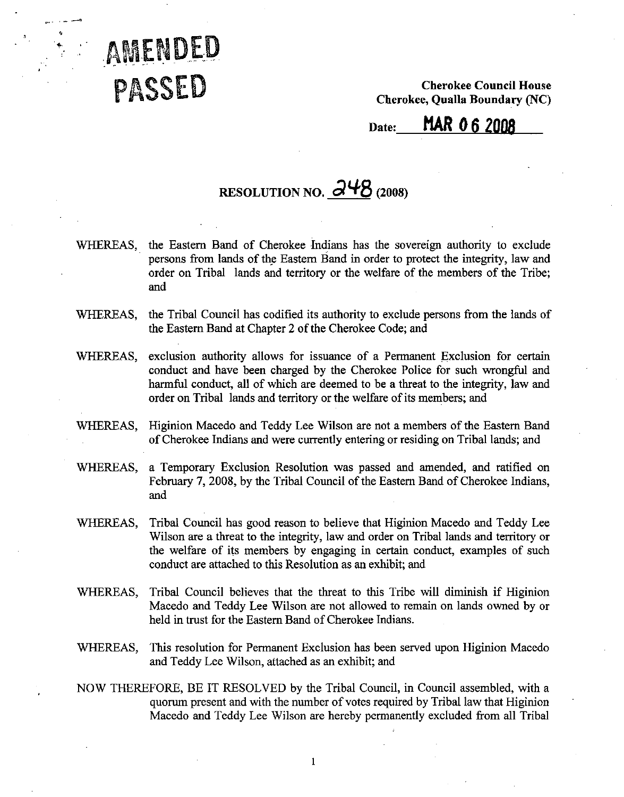

Cherokee Council House Cherokee, Qualla Boundary (NC)

# Date: MAR 0 6 2008

# RESOLUTION NO.  $\frac{\partial^{4}}{\partial}$  (2008)

- WHEREAS, the Eastem Band of Cherokee Indians has the sovereign authority to exclude persons from lands of the Eastem Band in order to protect the integrity, law and order on Tribal lands and territory or the welfare of the members of the Tribe; and
- WHEREAS, the Tribal Council has codified its authority to exclude persons from the lands of the Eastem Band at Chapter 2 of the Cherokee Code; and
- WHEREAS, exclusion authority allows for issuance of a Permanent Exclusion for certain conduct and have been charged by the Cherokee Police for such wrongfril and harmful conduct, all of which are deemed to be a threat to the integrity, law and order on Tribal lands and territory or the welfare of its members; and
- WHEREAS, Higinion Macedo and Teddy Lee Wilson are not a members of the Eastem Band of Cherokee Indians and were currently entering or residing on Tribal lands; and

WHEREAS, a Temporary Exclusion Resolution was passed and amended, and ratified on February 7, 2008, by the Tribal Council of the Eastem Band of Cherokee Indians, and

- WHEREAS, Tribal Council has good reason to believe that Higinion Macedo and Teddy Lee Wilson are a threat to the integrity, law and order on Tribal lands and territory or the welfare of its members by engaging in certain conduct, examples of such conduct are attached to this Resolution as an exhibit; and
- WHEREAS, Tribal Council believes that the threat to this Tribe will diminish if Higinion Macedo and Teddy Lee Wilson are not allowed to remain on lands owned by or held in tmst for the Eastem Band of Cherokee Indians.
- WHEREAS, This resolution for Permanent Exclusion has been served upon Higinion Macedo and Teddy Lee Wilson, attached as an exhibit; and
- NOW THEREFORE, BE IT RESOLVED by the Tribal Council, in Council assembled, with a quorum present and with the number of votes required by Tribal law that Higinion Macedo and Teddy Lee Wilson are hereby permanently excluded from all Tribal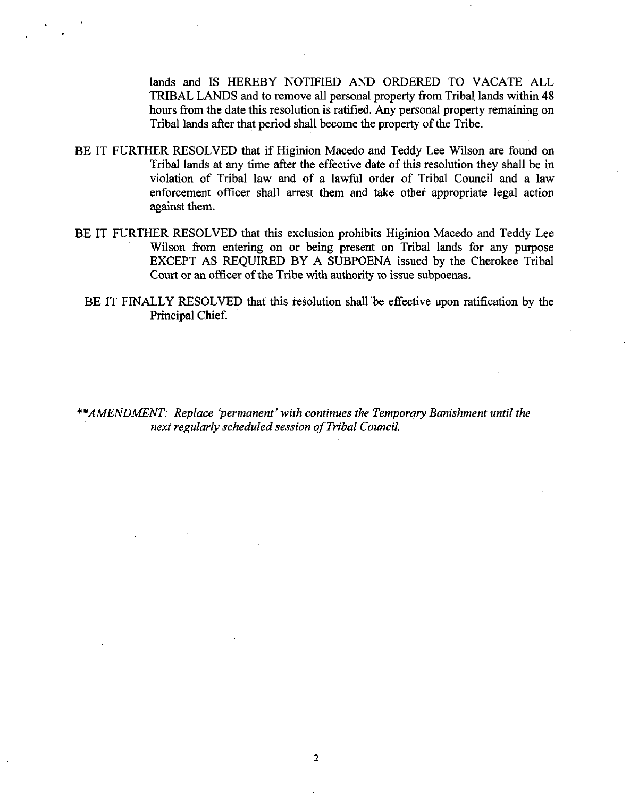lands and IS HEREBY NOTIFIED AND ORDERED TO VACATE ALL TRIBAL LANDS and to remove all personal property from Tribal lands within 48 hours from the date this resolution is ratified. Any personal property remaining on Tribal lands after that period shall become the property of the Tribe.

- BE IT FURTHER RESOLVED that if Higinion Macedo and Teddy Lee Wilson are found on Tribal lands at any time after the effective date of this resolution they shall be in violation of Tribal law and of a lawful order of Tribal Council and a law enforcement officer shall arrest them and take other appropriate legal action against them.
- BE IT FURTHER RESOLVED that this exclusion prohibits Higinion Macedo and Teddy Lee Wilson from entering on or being present on Tribal lands for any purpose EXCEPT AS REQUIRED BY A SUBPOENA issued by the Cherokee Tribal Court or an officer of the Tribe with authority to issue subpoenas.
	- BE IT FINALLY RESOLVED that this resolution shall be effective upon ratification by the Principal Chief

\*\*AMENDMENT: Replace 'permanent' with continues the Temporary Banishment until the next regularly scheduled session of Tribal Council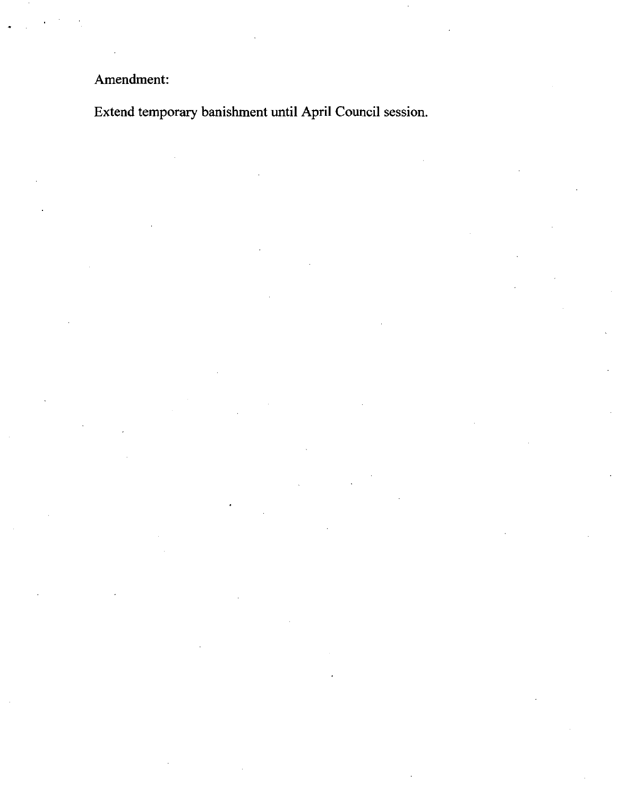# Amendment:

Extend temporary banishment until April Council session.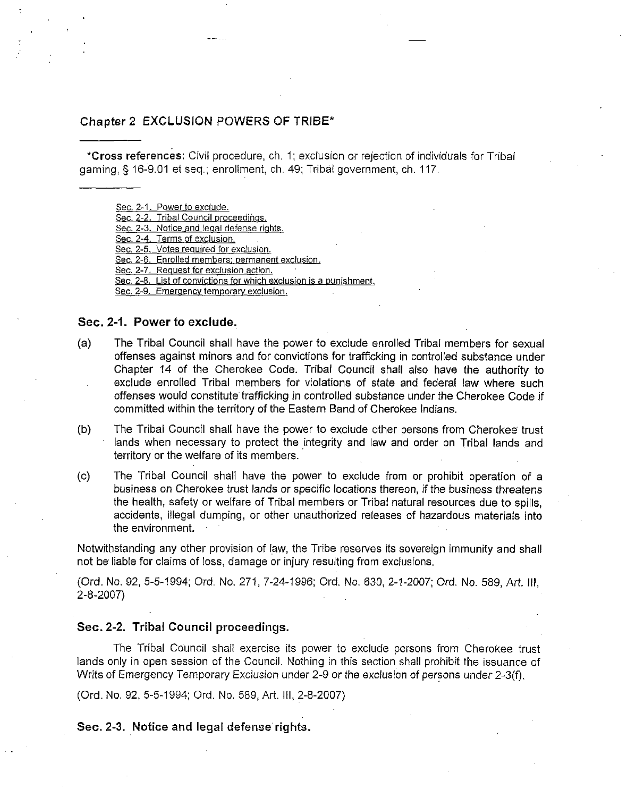### Chapter 2 EXCLUSION POWERS OF TRIBE\*

\*Cross references: Civil procedure, cfi. 1; exclusion or rejection of individuals for Tribal gaming, § 16-9.01 et seq.; enrollment, ch. 49; Tribal government, ch. 117.

Sec. 2-1. Power to exclude.

Sec. 2-2. Tribal Council proceedings.

Sec. 2-3. Notice and legal defense rights.

Sec. 2-4. Terms of exclusion.

Sec. 2-5. Votes required for exclusion.

Sec. 2-6. Enrolled members: permanent exclusion.

Sec. 2-7. Request for exclusion action.

Sec. 2-8. List of convictions for which exclusion is a punishment.

Sec. 2-9. Emergency temporary exclusion.

### Sec. 2-1. Power to exclude.

- (a) The Tribal Council shall have the power to exclude enrolled Tribal members for sexual offenses against minors and for convictions for trafficking in controlled substance under Chapter 14 of the Cherokee Code. Tribal Council shall also have the authority to exclude enrolled Tribal members for violations of state and federal law where such offenses would constitute trafficking in controlled substance under the Cherokee Code if committed within the territory of the Eastern Band of Cherokee Indians.
- (b) The Tribal Council shall have the power to exclude other persons from Cherokee trust lands when necessary to protect the integrity and law and order on Tribal lands and territory or the welfare of its members.
- (c) The Tribal Council shall have the power to exclude from or prohibit operation of a business on Cherokee trust lands or specific locations thereon, if the business threatens the health, safety or welfare of Tribal members or Tribal natural resources due to spills, accidents, illegal dumping, or other unauthorized releases of hazardous materials into the environment.

Notwithstanding any other provision of law, the Tribe reserves its sovereign immunity and shall not be liable for claims of loss, damage or injury resulting from exclusions.

(Ord. No. 92, 5-5-1994; Ord. No. 271, 7-24-1996; Ord. No, 630, 2-1-2007; Ord. No. 589, Art. Ill, 2-8-2007)

#### Sec. 2-2. Tribal Council proceedings.

The Tribal Council shall exercise its power to exclude persons from Cherokee trust lands only in open session of the Council. Nothing in this section shall prohibit the issuance of Writs of Emergency Temporary Exclusion under 2-9 or the exclusion of persons under 2-3(f).

(Ord. No, 92, 5-5-1994; Ord. No. 589, Art. Ill, 2-8-2007)

Sec. 2-3. Notice and legal defense rights.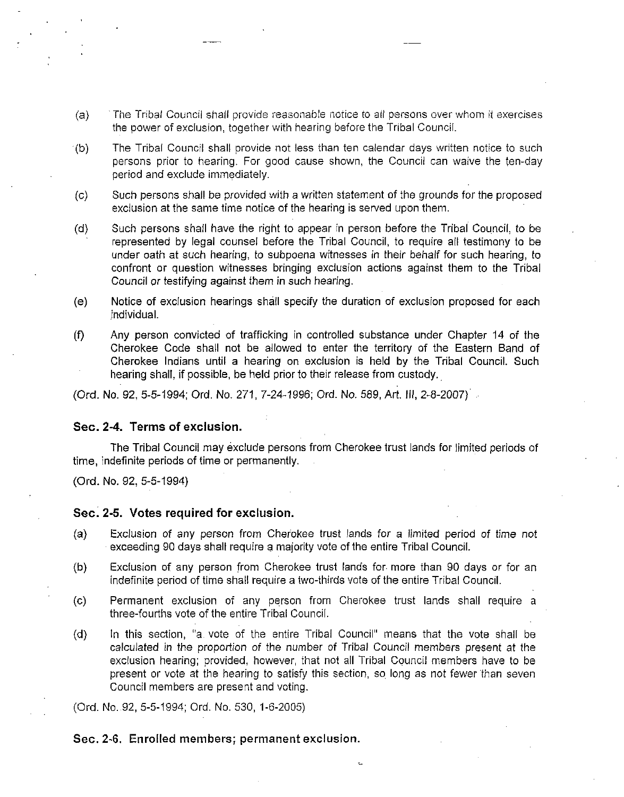- (a) The Tribal Council shall provide reasonable notice to all persons over whom it exercises the power of exclusion, together with hearing before the Tribal Council.
- (b) The Tribal Council shall provide not less than ten calendar days written notice to such persons prior to hearing. For good cause shown, the Council can waive the ten-day period and exclude immediately.
- (c) Such persons shall be provided with a written statement of the grounds for the proposed exclusion at the same time notice of the hearing is served upon them.
- (d) Such persons shall have the right to appear in person before the Tribal Council, to be represented by legal counsel before the Tribal Council, to require all testimony to be under oath at such hearing, to subpoena witnesses in their behalf for such hearing, to confront or question witnesses bringing exclusion actions against them to the Tribal Council or testifying against them in such hearing.
- (e) Notice of exclusion hearings shall specify the duration of exclusion proposed for each individual.
- (f) Any person convicted of trafficking in controlled substance under Chapter 14 of the Cherokee Code shall not be allowed to enter the territory of the Eastern Band of Cherokee Indians until a hearing on exclusion is held by the Tribal Council. Such hearing shall, if possible, be held prior to their release from custody.

(Ord. No, 92, 5-5-1994; Ord, No. 271, 7-24-1996; Ord. No, 589, Art. \\\, 2-8-2007)

### Sec. 2-4. Terms of exclusion.

The Tribal Council may exclude persons from Cherokee trust lands for limited periods of time, indefinite periods of time or permanently,

(Ord. No, 92, 5-5-1994)

### Sec. 2-5. Votes required for exclusion.

- (a) Exclusion of any person from Cherokee trust lands for a limited period of time not exceeding 90 days shall require a majority vote of the entire Tribal Council.
- (b) Exclusion of any person from Cherokee trust lands for more than 90 days or for an indefinite period of time shall require a two-thirds vote of the entire Tribal Council,
- (c) Permanent exclusion of any person from Cherokee trust lands shall require a three-fourths vote of the entire Tribal Council,
- (d) In this section, "a- vote of the entire Tribal Council" means that the vote shall be calculated in the proportion of the number of Tribal Council members present at the exclusion hearing; provided, however, that not all Tribal Council members have to be present or vote at the hearing to satisfy this section, so long as not fewer than seven Council members are present and voting.

(Ord, No,,92, 5-5-1994; Ord, No, 530, 1-6-2005)

#### Sec. 2-6. Enrolled members; permanent exclusion.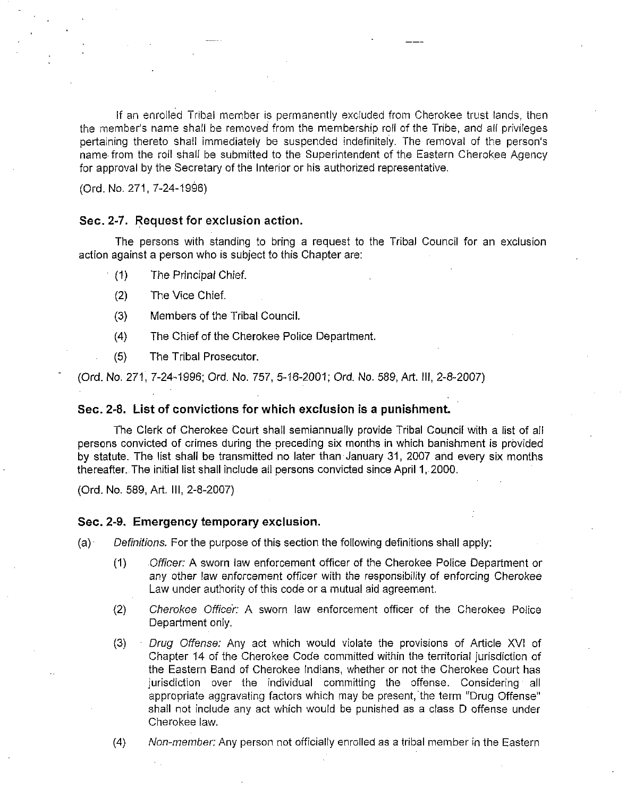if an enrolled Tribal member is permanently excluded from Cherokee trust lands, then the member's name shall be removed from the membership roll of the Tribe, and ail privileges pertaining thereto shall immediately be suspended indefinitely. The removal of the person's name from the roll shall be submitted to the Superintendent of the Eastern Cherokee Agency for approval by the Secretary of the Interior or his authorized representative,

(Ord, No. 271, 7-24-1996)

## Sec. 2-7. Request for exclusion action.

The persons with standing to bring a request to the Tribal Council for an exclusion action against a person who is subject to this Chapter are:

- (1) The Principal Chief.
	- (2) The Vice Chief.
- (3) Members of the Tribal Council.
- (4) The Chief of the Cherokee Police Department.
- (5) The Tribal Prosecutor.

(Ord. No, 271, 7-24-1996; Ord, No. 757, 5-16-2001; Ord. No. 589, Art. Ill, 2-8-2007)

#### Sec. 2-8. List of convictions for which exclusion is a punishment

The Clerk of Cherokee Court shall semiannually provide Tribal Council with a list of all persons convicted of crimes during the preceding six months in which banishment is provided by statute. The list shall be transmitted no later than January 31, 2007 and every six months thereafter. The initial list shall include all persons convicted since April 1, 2000.

(Ord. No, 589, Art, III, 2-8-2007)

## Sec. 2-9. Emergency temporary exclusion.

 $(a)$  Definitions. For the purpose of this section the following definitions shall apply:

- (1) .Officer: A sworn law enforcement officer of the Cherokee Police Department or any other law enforcement officer with the responsibility of enforcing Cherokee Law under authority of this code or a mutual aid agreement.
- (2) Cherokee Officer: A sworn law enforcement officer of the Cherokee Police Department only,
- (3) Drug Offense: Any act which would violate the provisions of Article XVI of Chapter 14 of the Cherokee Code committed within the territorial jurisdiction of the Eastern Band of Cherokee Indians, whether or not the Cherokee Court has jurisdiction over the individual committing the offense. Considering all appropriate aggravating factors which may be present, the term "Drug Offense" shall not include any act which would be punished as a class D offense under Cherokee law,
- (4) Non-member: Any person not officially enrolled as a tribal member in the Eastern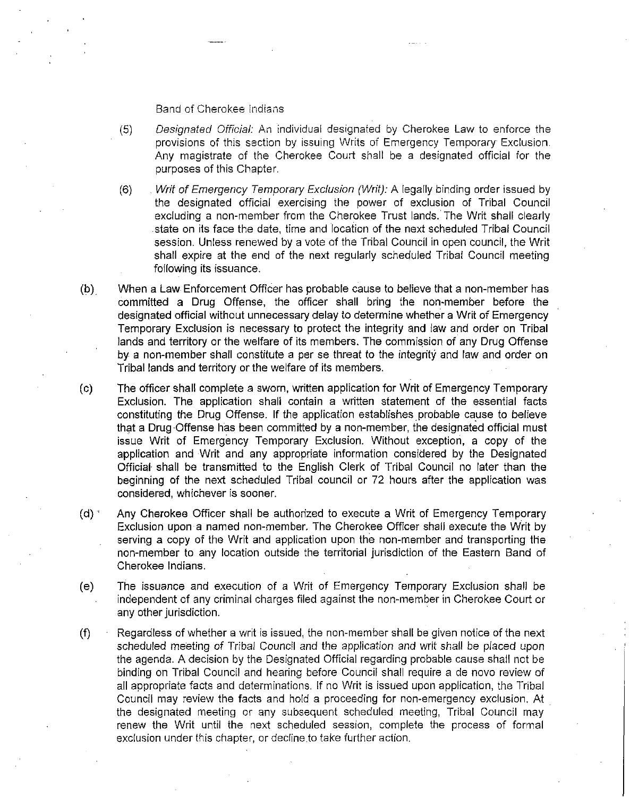#### Band of Cherokee Indians

- (5) Designated Official: An individual designated by Cherokee Law to enforce the provisions of this section by issuing Writs of Emergency Temporary Exclusion. Any magistrate of the Cherokee Court shall be a designated official for the purposes of this Chapter.
- (6) . Writ of Emergency Temporary Exclusion (Writ): A legally binding order issued by the designated official exercising the power of exclusion of Tribal Council excluding a non-member from the Cherokee Trust lands. The Writ shall clearly state on its face the date, time and location of the next scheduled Tribal Council session. Unless renewed by a vote of the Tribal Council in open council, the Writ shall expire at the end of the next regulariy scheduled Tribal Council meeting following its issuance,
- (b) When a Law Enforcement Officer has probable cause to believe that a non-member has committed a Drug Offense, the officer shall bring the non-member before the designated official without unnecessary delay to determine whether a Writ of Emergency Temporary Exclusion is necessary to protect the integrity and law and order on Tribal lands and territory or the welfare of its members. The commisision of any Drug Offense by a non-member shall constitute a per se threat to the integrity and law and order on Tribal lands and territory or the welfare of its members.
- (c) The officer shall complete a sworn, written application for Writ of Emergency Temporary Exclusion. The application shall contain a written statement of the essential facts constituting the Drug Offense, If the application establishes probable cause to believe that a Drug Offense has been committed by a non-member, the designated official must issue Writ of Emergency Temporary Exclusion, Without exception, a copy of the application and Writ and any appropriate information considered by the Designated Official shall be transmitted to the English Clerk of Tribal Council no later than the beginning of the next scheduled Tribal council or 72 hours after the application was considered, whichever is sooner.
- (d) ' Any Cherokee Officer shall be authorized to execute a Writ of Emergency Temporary Exclusion upon a named non-member. The Cherokee Officer shall execute the Writ by serving a copy of the Writ and application upon the non-member and transporting the non-member to any location outside the territorial jurisdiction of the Eastern Band of Cherokee Indians,
- (e) The issuance and execution of a Writ of Emergency Temporary Exclusion shall be independent of any criminal charges filed against the non-member in Cherokee Court or any other jurisdiction.
- (f) Regardless of whether a writ is issued, the non-member shall be given notice of the next scheduled meeting of Tribal Council and the application and writ shall be placed upon the agenda, A decision by the Designated Official regarding probable cause shall not be binding on Tribal Council and hearing before Council shall require a de novo review of all appropriate facts and determinations. If no Writ is issued upon application, the Tribal Council may review the facts and hold a proceeding for non-emergency exclusion. At the designated meeting or any subsequent scheduled meeting, Tribal Council may renew the Writ until the next scheduled session, complete the process of formal exclusion under this chapter, or decline to take further action.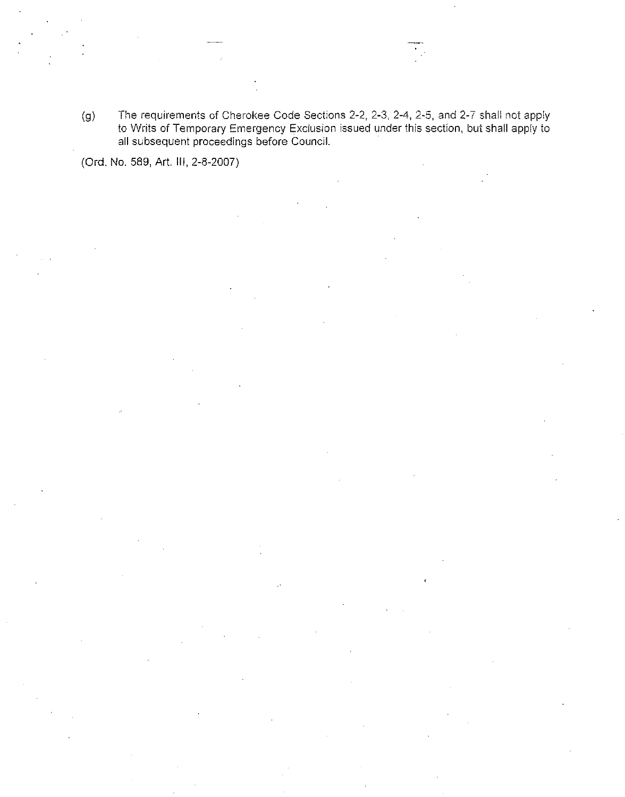(g) The requirements of Cherokee Code Sections 2-2, 2-3, 2-4, 2-5, and 2-7 shall not apply to Writs of Temporary Emergency Exclusion issued under this section, but shall apply to all subsequent proceedings before Council,

(Ord. No, 589, Art. Ill, 2-8-2007)